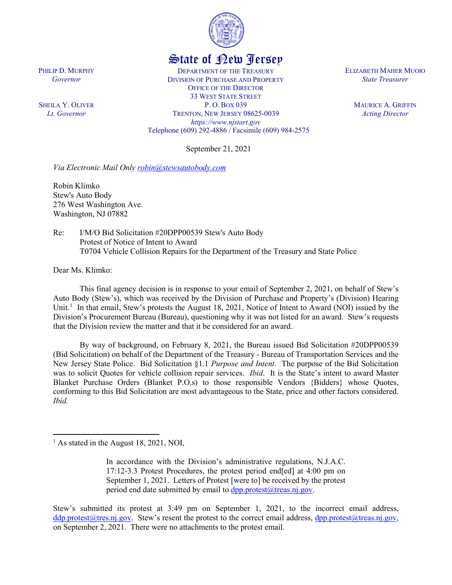

## State of New Jersey

DEPARTMENT OF THE TREASURY DIVISION OF PURCHASE AND PROPERTY OFFICE OF THE DIRECTOR 33 WEST STATE STREET P. O. BOX 039 TRENTON, NEW JERSEY 08625-0039 *https://www.njstart.gov* Telephone (609) 292-4886 / Facsimile (609) 984-2575

September 21, 2021

*Via Electronic Mail Only [robin@stewsautobody.com](mailto:robin@stewsautobody.com)*

Robin Klimko Stew's Auto Body 276 West Washington Ave. Washington, NJ 07882

Re: I/M/O Bid Solicitation #20DPP00539 Stew's Auto Body Protest of Notice of Intent to Award T0704 Vehicle Collision Repairs for the Department of the Treasury and State Police

Dear Ms. Klimko:

 $\overline{\phantom{a}}$ 

PHILIP D. MURPHY *Governor*

SHEILA Y. OLIVER *Lt. Governor*

> This final agency decision is in response to your email of September 2, 2021, on behalf of Stew's Auto Body (Stew's), which was received by the Division of Purchase and Property's (Division) Hearing Unit.<sup>[1](#page-0-0)</sup> In that email, Stew's protests the August 18, 2021, Notice of Intent to Award (NOI) issued by the Division's Procurement Bureau (Bureau), questioning why it was not listed for an award. Stew's requests that the Division review the matter and that it be considered for an award.

> By way of background, on February 8, 2021, the Bureau issued Bid Solicitation #20DPP00539 (Bid Solicitation) on behalf of the Department of the Treasury - Bureau of Transportation Services and the New Jersey State Police. Bid Solicitation §1.1 *Purpose and Intent*. The purpose of the Bid Solicitation was to solicit Quotes for vehicle collision repair services. *Ibid*. It is the State's intent to award Master Blanket Purchase Orders (Blanket P.O.s) to those responsible Vendors {Bidders} whose Quotes, conforming to this Bid Solicitation are most advantageous to the State, price and other factors considered. *Ibid.*

Stew's submitted its protest at 3:49 pm on September 1, 2021, to the incorrect email address, [ddp.protest@tres.nj.gov.](mailto:ddp.protest@tres.nj.gov) Stew's resent the protest to the correct email address, dpp.protest@treas.nj.gov, on September 2, 2021. There were no attachments to the protest email.

ELIZABETH MAHER MUOIO *State Treasurer*

> MAURICE A. GRIFFIN *Acting Director*

<span id="page-0-0"></span><sup>&</sup>lt;sup>1</sup> As stated in the August 18, 2021, NOI,

In accordance with the Division's administrative regulations, N.J.A.C. 17:12-3.3 Protest Procedures, the protest period end[ed] at 4:00 pm on September 1, 2021. Letters of Protest [were to] be received by the protest period end date submitted by email to  $\frac{dpp.protest(@treas.nj.gov)}{dpq}$ .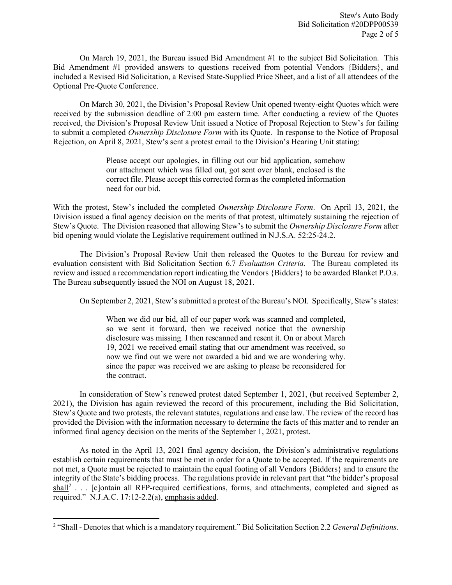On March 19, 2021, the Bureau issued Bid Amendment #1 to the subject Bid Solicitation. This Bid Amendment #1 provided answers to questions received from potential Vendors {Bidders}, and included a Revised Bid Solicitation, a Revised State-Supplied Price Sheet, and a list of all attendees of the Optional Pre-Quote Conference.

On March 30, 2021, the Division's Proposal Review Unit opened twenty-eight Quotes which were received by the submission deadline of 2:00 pm eastern time. After conducting a review of the Quotes received, the Division's Proposal Review Unit issued a Notice of Proposal Rejection to Stew's for failing to submit a completed *Ownership Disclosure Form* with its Quote. In response to the Notice of Proposal Rejection, on April 8, 2021, Stew's sent a protest email to the Division's Hearing Unit stating:

> Please accept our apologies, in filling out our bid application, somehow our attachment which was filled out, got sent over blank, enclosed is the correct file. Please accept this corrected form as the completed information need for our bid.

With the protest, Stew's included the completed *Ownership Disclosure Form*. On April 13, 2021, the Division issued a final agency decision on the merits of that protest, ultimately sustaining the rejection of Stew's Quote. The Division reasoned that allowing Stew's to submit the *Ownership Disclosure Form* after bid opening would violate the Legislative requirement outlined in N.J.S.A. 52:25-24.2.

The Division's Proposal Review Unit then released the Quotes to the Bureau for review and evaluation consistent with Bid Solicitation Section 6.7 *Evaluation Criteria*. The Bureau completed its review and issued a recommendation report indicating the Vendors {Bidders} to be awarded Blanket P.O.s. The Bureau subsequently issued the NOI on August 18, 2021.

On September 2, 2021, Stew's submitted a protest of the Bureau's NOI. Specifically, Stew's states:

When we did our bid, all of our paper work was scanned and completed, so we sent it forward, then we received notice that the ownership disclosure was missing. I then rescanned and resent it. On or about March 19, 2021 we received email stating that our amendment was received, so now we find out we were not awarded a bid and we are wondering why. since the paper was received we are asking to please be reconsidered for the contract.

In consideration of Stew's renewed protest dated September 1, 2021, (but received September 2, 2021), the Division has again reviewed the record of this procurement, including the Bid Solicitation, Stew's Quote and two protests, the relevant statutes, regulations and case law. The review of the record has provided the Division with the information necessary to determine the facts of this matter and to render an informed final agency decision on the merits of the September 1, 2021, protest.

As noted in the April 13, 2021 final agency decision, the Division's administrative regulations establish certain requirements that must be met in order for a Quote to be accepted. If the requirements are not met, a Quote must be rejected to maintain the equal footing of all Vendors {Bidders} and to ensure the integrity of the State's bidding process. The regulations provide in relevant part that "the bidder's proposal  $shall<sup>2</sup>$  $shall<sup>2</sup>$  $shall<sup>2</sup>$ ... [c]ontain all RFP-required certifications, forms, and attachments, completed and signed as required." N.J.A.C. 17:12-2.2(a), emphasis added.

<span id="page-1-0"></span>l <sup>2</sup> "Shall - Denotes that which is a mandatory requirement." Bid Solicitation Section 2.2 *General Definitions*.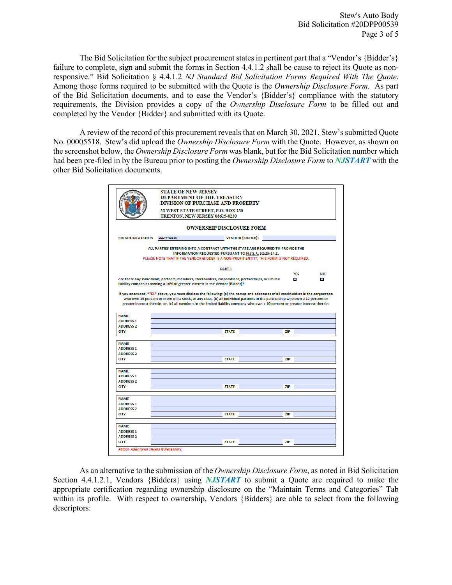Stew's Auto Body Bid Solicitation #20DPP00539 Page 3 of 5

The Bid Solicitation for the subject procurement states in pertinent part that a "Vendor's {Bidder's} failure to complete, sign and submit the forms in Section 4.4.1.2 shall be cause to reject its Quote as nonresponsive." Bid Solicitation § 4.4.1.2 *NJ Standard Bid Solicitation Forms Required With The Quote*. Among those forms required to be submitted with the Quote is the *Ownership Disclosure Form.* As part of the Bid Solicitation documents, and to ease the Vendor's {Bidder's} compliance with the statutory requirements, the Division provides a copy of the *Ownership Disclosure Form* to be filled out and completed by the Vendor {Bidder} and submitted with its Quote.

A review of the record of this procurement reveals that on March 30, 2021, Stew's submitted Quote No. 00005518. Stew's did upload the *Ownership Disclosure Form* with the Quote. However, as shown on the screenshot below, the *Ownership Disclosure Form* was blank, but for the Bid Solicitation number which had been pre-filed in by the Bureau prior to posting the *Ownership Disclosure Form* to *NJSTART* with the other Bid Solicitation documents.

|                                      | <b>STATE OF NEW JERSEY</b>                                                                                                                                                         | <b>DEPARTMENT OF THE TREASURY</b><br><b>DIVISION OF PURCHASE AND PROPERTY</b> |                         |              |            |  |  |
|--------------------------------------|------------------------------------------------------------------------------------------------------------------------------------------------------------------------------------|-------------------------------------------------------------------------------|-------------------------|--------------|------------|--|--|
|                                      | 33 WEST STATE STREET, P.O. BOX 230<br>TRENTON, NEW JERSEY 08625-0230                                                                                                               |                                                                               |                         |              |            |  |  |
|                                      |                                                                                                                                                                                    | <b>OWNERSHIP DISCLOSURE FORM</b>                                              |                         |              |            |  |  |
| <b>BID SOLICITATION #:</b>           | 20DPP00539                                                                                                                                                                         |                                                                               | <b>VENDOR {BIDDER}:</b> |              |            |  |  |
|                                      | ALL PARTIES ENTERING INTO A CONTRACT WITH THE STATE ARE REQUIRED TO PROVIDE THE<br>PLEASE NOTE THAT IF THE VENDOR/BIDDER IS A NON-PROFIT ENTITY, THIS FORM IS NOT REQUIRED.        | INFORMATION REQUESTED PURSUANT TO N.J.S.A. 52:25-24.2.                        |                         |              |            |  |  |
|                                      |                                                                                                                                                                                    | <b>PART 1</b>                                                                 |                         | <b>YES</b>   |            |  |  |
|                                      |                                                                                                                                                                                    |                                                                               |                         |              |            |  |  |
|                                      | Are there any individuals, partners, members, stockholders, corporations, partnerships, or limited<br>liability companies owning a 10% or greater interest in the Vendor {Bidder}? |                                                                               |                         | $\mathbf{m}$ | <b>COL</b> |  |  |
| <b>NAME</b>                          | greater interest therein; or, (c) all members in the limited liability company who own a 10 percent or greater interest therein.                                                   |                                                                               |                         |              |            |  |  |
| <b>ADDRESS 1</b>                     |                                                                                                                                                                                    |                                                                               |                         |              |            |  |  |
|                                      |                                                                                                                                                                                    |                                                                               |                         |              |            |  |  |
| <b>ADDRESS 2</b>                     |                                                                                                                                                                                    |                                                                               |                         |              |            |  |  |
| <b>CITY</b>                          |                                                                                                                                                                                    | <b>STATE</b>                                                                  |                         | <b>ZIP</b>   |            |  |  |
|                                      |                                                                                                                                                                                    |                                                                               |                         |              |            |  |  |
| <b>NAME</b><br><b>ADDRESS 1</b>      |                                                                                                                                                                                    |                                                                               |                         |              |            |  |  |
| <b>ADDRESS 2</b>                     |                                                                                                                                                                                    |                                                                               |                         |              |            |  |  |
| <b>CITY</b>                          |                                                                                                                                                                                    | <b>STATE</b>                                                                  |                         | <b>ZIP</b>   |            |  |  |
|                                      |                                                                                                                                                                                    |                                                                               |                         |              |            |  |  |
| <b>NAME</b>                          |                                                                                                                                                                                    |                                                                               |                         |              |            |  |  |
| <b>ADDRESS 1</b><br><b>ADDRESS 2</b> |                                                                                                                                                                                    |                                                                               |                         |              |            |  |  |
| <b>CITY</b>                          |                                                                                                                                                                                    | <b>STATE</b>                                                                  |                         | <b>ZIP</b>   |            |  |  |
|                                      |                                                                                                                                                                                    |                                                                               |                         |              |            |  |  |
| <b>NAME</b>                          |                                                                                                                                                                                    |                                                                               |                         |              |            |  |  |
| <b>ADDRESS 1</b>                     |                                                                                                                                                                                    |                                                                               |                         |              |            |  |  |
| <b>ADDRESS 2</b><br><b>CITY</b>      |                                                                                                                                                                                    | <b>STATE</b>                                                                  |                         | <b>ZIP</b>   |            |  |  |
|                                      |                                                                                                                                                                                    |                                                                               |                         |              |            |  |  |
| <b>NAME</b>                          |                                                                                                                                                                                    |                                                                               |                         |              |            |  |  |
| <b>ADDRESS 1</b>                     |                                                                                                                                                                                    |                                                                               |                         |              |            |  |  |
| <b>ADDRESS 2</b><br><b>CITY</b>      |                                                                                                                                                                                    | <b>STATE</b>                                                                  |                         | <b>ZIP</b>   |            |  |  |

As an alternative to the submission of the *Ownership Disclosure Form*, as noted in Bid Solicitation Section 4.4.1.2.1, Vendors {Bidders} using *NJSTART* to submit a Quote are required to make the appropriate certification regarding ownership disclosure on the "Maintain Terms and Categories" Tab within its profile. With respect to ownership, Vendors {Bidders} are able to select from the following descriptors: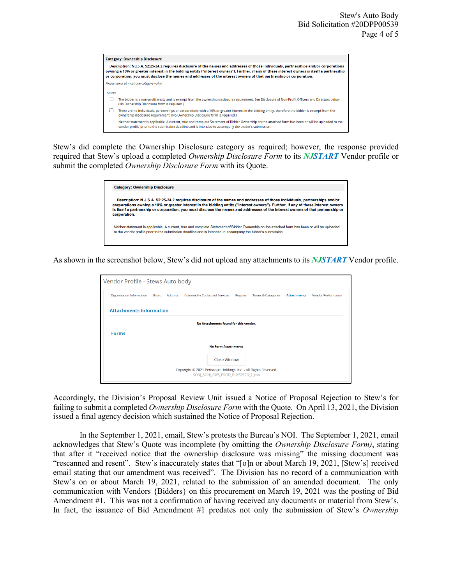|        | Description: N.J.S.A. 52:25-24.2 requires disclosure of the names and addresses of those individuals, partnerships and/or corporations<br>owning a 10% or greater interest in the bidding entity ("interest owners"). Further, if any of these interest owners is itself a partnership<br>or corporation, you must disclose the names and addresses of the interest owners of that partnership or corporation. |
|--------|----------------------------------------------------------------------------------------------------------------------------------------------------------------------------------------------------------------------------------------------------------------------------------------------------------------------------------------------------------------------------------------------------------------|
|        | Please select at most one category value                                                                                                                                                                                                                                                                                                                                                                       |
| Select |                                                                                                                                                                                                                                                                                                                                                                                                                |
|        | The bidder is a non-profit entity and is exempt from the ownership disclosure requirement. See Disclosure of Non-Profit Officers and Directors below.<br>(No Ownership Disclosure form is required.)                                                                                                                                                                                                           |
|        | There are no individuals, partnerships or corporations with a 10% or greater interest in the bidding entity, therefore the bidder is exempt from the<br>ownership disclosure requirement. (No Ownership Disclosure form is required.)                                                                                                                                                                          |
|        | Neither statement is applicable. A current, true and complete Statement of Bidder Ownership on the attached form has been or will be uploaded to the<br>vendor profile prior to the submission deadline and is intended to accompany the bidder's submission.                                                                                                                                                  |

Stew's did complete the Ownership Disclosure category as required; however, the response provided required that Stew's upload a completed *Ownership Disclosure Form* to its *NJSTART* Vendor profile or submit the completed *Ownership Disclosure Form* with its Quote.

| <b>Category: Ownership Disclosure</b> |                                                                                                                                                                                                                                                                                                                                                                                                   |
|---------------------------------------|---------------------------------------------------------------------------------------------------------------------------------------------------------------------------------------------------------------------------------------------------------------------------------------------------------------------------------------------------------------------------------------------------|
| corporation.                          | Description: N.J.S.A. 52:25-24.2 requires disclosure of the names and addresses of those individuals, partnerships and/or<br>corporations owning a 10% or greater interest in the bidding entity ("interest owners"). Further, if any of these interest owners<br>is itself a partnership or corporation, you must disclose the names and addresses of the interest owners of that partnership or |
|                                       | Neither statement is applicable. A current, true and complete Statement of Bidder Ownership on the attached form has been or will be uploaded<br>to the vendor profile prior to the submission deadline and is intended to accompany the bidder's submission.                                                                                                                                     |

As shown in the screenshot below, Stew's did not upload any attachments to its *NJSTART* Vendor profile.

| Organization Information Users Address |  |  | <b>Commodity Codes and Services</b> | <b>Regions</b> | <b>Terms &amp; Categories</b> | <b>Attachments</b> | <b>Vendor Performance</b> |  |
|----------------------------------------|--|--|-------------------------------------|----------------|-------------------------------|--------------------|---------------------------|--|
| <b>Attachments Information</b>         |  |  |                                     |                |                               |                    |                           |  |
| No Attachments found for this vendor.  |  |  |                                     |                |                               |                    |                           |  |
| <b>Forms</b>                           |  |  |                                     |                |                               |                    |                           |  |
|                                        |  |  | <b>No Form Attachments</b>          |                |                               |                    |                           |  |
|                                        |  |  |                                     |                |                               |                    |                           |  |
|                                        |  |  | <b>Close Window</b>                 |                |                               |                    |                           |  |

Accordingly, the Division's Proposal Review Unit issued a Notice of Proposal Rejection to Stew's for failing to submit a completed *Ownership Disclosure Form* with the Quote. On April 13, 2021, the Division issued a final agency decision which sustained the Notice of Proposal Rejection.

In the September 1, 2021, email, Stew's protests the Bureau's NOI. The September 1, 2021, email acknowledges that Stew's Quote was incomplete (by omitting the *Ownership Disclosure Form)*, stating that after it "received notice that the ownership disclosure was missing" the missing document was "rescanned and resent". Stew's inaccurately states that "[o]n or about March 19, 2021, [Stew's] received email stating that our amendment was received". The Division has no record of a communication with Stew's on or about March 19, 2021, related to the submission of an amended document. The only communication with Vendors {Bidders} on this procurement on March 19, 2021 was the posting of Bid Amendment #1. This was not a confirmation of having received any documents or material from Stew's. In fact, the issuance of Bid Amendment #1 predates not only the submission of Stew's *Ownership*